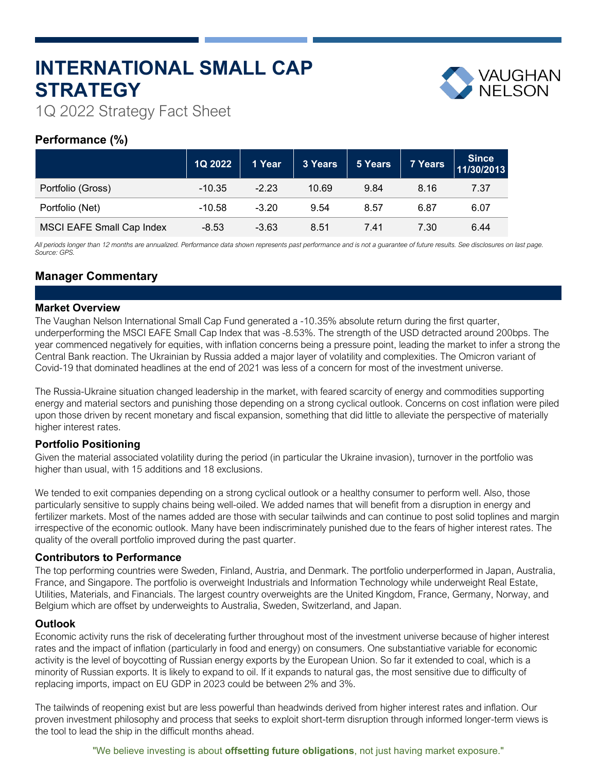# **INTERNATIONAL SMALL CAP STRATEGY**



1Q 2022 Strategy Fact Sheet

# **Performance (%)**

|                           | 1Q 2022  | 1 Year  | 3 Years | 5 Years | 7 Years | Since<br>11/30/2013 |
|---------------------------|----------|---------|---------|---------|---------|---------------------|
| Portfolio (Gross)         | $-10.35$ | $-2.23$ | 10.69   | 9.84    | 8.16    | 7.37                |
| Portfolio (Net)           | $-10.58$ | $-3.20$ | 9.54    | 8.57    | 6.87    | 6.07                |
| MSCI EAFE Small Cap Index | $-8.53$  | $-3.63$ | 8.51    | 7.41    | 7.30    | 6.44                |

*All periods longer than 12 months are annualized. Performance data shown represents past performance and is not a guarantee of future results. See disclosures on last page. Source: GPS.*

# **Manager Commentary**

## **Market Overview**

The Vaughan Nelson International Small Cap Fund generated a -10.35% absolute return during the first quarter, underperforming the MSCI EAFE Small Cap Index that was -8.53%. The strength of the USD detracted around 200bps. The year commenced negatively for equities, with inflation concerns being a pressure point, leading the market to infer a strong the Central Bank reaction. The Ukrainian by Russia added a major layer of volatility and complexities. The Omicron variant of Covid-19 that dominated headlines at the end of 2021 was less of a concern for most of the investment universe.

The Russia-Ukraine situation changed leadership in the market, with feared scarcity of energy and commodities supporting energy and material sectors and punishing those depending on a strong cyclical outlook. Concerns on cost inflation were piled upon those driven by recent monetary and fiscal expansion, something that did little to alleviate the perspective of materially higher interest rates.

## **Portfolio Positioning**

Given the material associated volatility during the period (in particular the Ukraine invasion), turnover in the portfolio was higher than usual, with 15 additions and 18 exclusions.

We tended to exit companies depending on a strong cyclical outlook or a healthy consumer to perform well. Also, those particularly sensitive to supply chains being well-oiled. We added names that will benefit from a disruption in energy and fertilizer markets. Most of the names added are those with secular tailwinds and can continue to post solid toplines and margin irrespective of the economic outlook. Many have been indiscriminately punished due to the fears of higher interest rates. The quality of the overall portfolio improved during the past quarter.

## **Contributors to Performance**

The top performing countries were Sweden, Finland, Austria, and Denmark. The portfolio underperformed in Japan, Australia, France, and Singapore. The portfolio is overweight Industrials and Information Technology while underweight Real Estate, Utilities, Materials, and Financials. The largest country overweights are the United Kingdom, France, Germany, Norway, and Belgium which are offset by underweights to Australia, Sweden, Switzerland, and Japan.

## **Outlook**

Economic activity runs the risk of decelerating further throughout most of the investment universe because of higher interest rates and the impact of inflation (particularly in food and energy) on consumers. One substantiative variable for economic activity is the level of boycotting of Russian energy exports by the European Union. So far it extended to coal, which is a minority of Russian exports. It is likely to expand to oil. If it expands to natural gas, the most sensitive due to difficulty of replacing imports, impact on EU GDP in 2023 could be between 2% and 3%.

The tailwinds of reopening exist but are less powerful than headwinds derived from higher interest rates and inflation. Our proven investment philosophy and process that seeks to exploit short-term disruption through informed longer-term views is the tool to lead the ship in the difficult months ahead.

"We believe investing is about **offsetting future obligations**, not just having market exposure."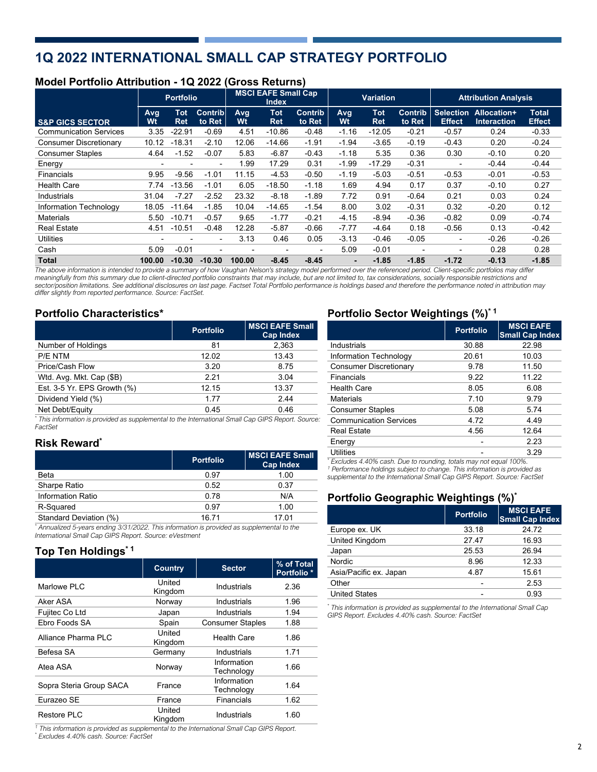# **1Q 2022 INTERNATIONAL SMALL CAP STRATEGY PORTFOLIO**

## **Model Portfolio Attribution - 1Q 2022 (Gross Returns)**

|                               |                          | <b>Portfolio</b>         |                          |           | <b>MSCI EAFE Small Cap</b><br><b>Index</b> |                          | <b>Variation</b> |                          | <b>Attribution Analysis</b> |                                   |                                   |                               |
|-------------------------------|--------------------------|--------------------------|--------------------------|-----------|--------------------------------------------|--------------------------|------------------|--------------------------|-----------------------------|-----------------------------------|-----------------------------------|-------------------------------|
| <b>S&amp;P GICS SECTOR</b>    | Avg<br>Wt                | <b>Tot</b><br><b>Ret</b> | Contrib<br>to Ret        | Avg<br>Wt | <b>Tot</b><br><b>Ret</b>                   | <b>Contrib</b><br>to Ret | Avg<br>Wt        | <b>Tot</b><br><b>Ret</b> | <b>Contrib</b><br>to Ret    | <b>Selection</b><br><b>Effect</b> | Allocation+<br><b>Interaction</b> | <b>Total</b><br><b>Effect</b> |
| <b>Communication Services</b> | 3.35                     | $-22.91$                 | $-0.69$                  | 4.51      | $-10.86$                                   | $-0.48$                  | $-1.16$          | $-12.05$                 | $-0.21$                     | $-0.57$                           | 0.24                              | $-0.33$                       |
| <b>Consumer Discretionary</b> | 10.12                    | $-18.31$                 | $-2.10$                  | 12.06     | $-14.66$                                   | $-1.91$                  | $-1.94$          | $-3.65$                  | $-0.19$                     | $-0.43$                           | 0.20                              | $-0.24$                       |
| <b>Consumer Staples</b>       | 4.64                     | $-1.52$                  | $-0.07$                  | 5.83      | $-6.87$                                    | $-0.43$                  | $-1.18$          | 5.35                     | 0.36                        | 0.30                              | $-0.10$                           | 0.20                          |
| Energy                        | $\overline{\phantom{a}}$ | ۰                        | $\overline{\phantom{a}}$ | 1.99      | 17.29                                      | 0.31                     | $-1.99$          | $-17.29$                 | $-0.31$                     | $\overline{\phantom{a}}$          | $-0.44$                           | $-0.44$                       |
| <b>Financials</b>             | 9.95                     | $-9.56$                  | $-1.01$                  | 11.15     | $-4.53$                                    | $-0.50$                  | $-1.19$          | $-5.03$                  | $-0.51$                     | $-0.53$                           | $-0.01$                           | $-0.53$                       |
| <b>Health Care</b>            | 7.74                     | $-13.56$                 | $-1.01$                  | 6.05      | $-18.50$                                   | $-1.18$                  | 1.69             | 4.94                     | 0.17                        | 0.37                              | $-0.10$                           | 0.27                          |
| Industrials                   | 31.04                    | $-7.27$                  | $-2.52$                  | 23.32     | $-8.18$                                    | $-1.89$                  | 7.72             | 0.91                     | $-0.64$                     | 0.21                              | 0.03                              | 0.24                          |
| Information Technology        | 18.05                    | $-11.64$                 | $-1.85$                  | 10.04     | $-14.65$                                   | $-1.54$                  | 8.00             | 3.02                     | $-0.31$                     | 0.32                              | $-0.20$                           | 0.12                          |
| Materials                     | 5.50                     | $-10.71$                 | $-0.57$                  | 9.65      | $-1.77$                                    | $-0.21$                  | $-4.15$          | $-8.94$                  | $-0.36$                     | $-0.82$                           | 0.09                              | $-0.74$                       |
| <b>Real Estate</b>            | 4.51                     | $-10.51$                 | $-0.48$                  | 12.28     | $-5.87$                                    | $-0.66$                  | $-7.77$          | $-4.64$                  | 0.18                        | $-0.56$                           | 0.13                              | $-0.42$                       |
| Utilities                     |                          |                          | $\overline{\phantom{a}}$ | 3.13      | 0.46                                       | 0.05                     | $-3.13$          | $-0.46$                  | $-0.05$                     | $\overline{\phantom{a}}$          | $-0.26$                           | $-0.26$                       |
| Cash                          | 5.09                     | $-0.01$                  | $\overline{\phantom{0}}$ |           |                                            | $\overline{\phantom{a}}$ | 5.09             | $-0.01$                  | $\overline{\phantom{a}}$    |                                   | 0.28                              | 0.28                          |
| <b>Total</b>                  | 100.00                   | $-10.30$                 | $-10.30$                 | 100.00    | $-8.45$                                    | $-8.45$                  | $\blacksquare$   | $-1.85$                  | $-1.85$                     | $-1.72$                           | $-0.13$                           | $-1.85$                       |

*The above information is intended to provide a summary of how Vaughan Nelson's strategy model performed over the referenced period. Client-specific portfolios may differ meaningfully from this summary due to client-directed portfolio constraints that may include, but are not limited to, tax considerations, socially responsible restrictions and sector/position limitations. See additional disclosures on last page. Factset Total Portfolio performance is holdings based and therefore the performance noted in attribution may differ slightly from reported performance. Source: FactSet.*

## **Portfolio Characteristics\***

|                             | <b>Portfolio</b> | <b>MSCI EAFE Small</b><br><b>Cap Index</b> |
|-----------------------------|------------------|--------------------------------------------|
| Number of Holdings          | 81               | 2,363                                      |
| P/E NTM                     | 12.02            | 13.43                                      |
| Price/Cash Flow             | 3.20             | 8.75                                       |
| Wtd. Avg. Mkt. Cap (\$B)    | 2.21             | 3.04                                       |
| Est. 3-5 Yr. EPS Growth (%) | 12.15            | 13.37                                      |
| Dividend Yield (%)          | 1.77             | 2.44                                       |
| Net Debt/Equity             | 0.45             | 0.46                                       |

*\* This information is provided as supplemental to the International Small Cap GIPS Report. Source: FactSet*

## **Risk Reward\***

|                                                                                                                                                                                                                                                                                                                                                | <b>Portfolio</b> | <b>MSCI EAFE Small</b><br><b>Cap Index</b> |
|------------------------------------------------------------------------------------------------------------------------------------------------------------------------------------------------------------------------------------------------------------------------------------------------------------------------------------------------|------------------|--------------------------------------------|
| <b>Beta</b>                                                                                                                                                                                                                                                                                                                                    | 0.97             | 1.00                                       |
| Sharpe Ratio                                                                                                                                                                                                                                                                                                                                   | 0.52             | 0.37                                       |
| <b>Information Ratio</b>                                                                                                                                                                                                                                                                                                                       | 0.78             | N/A                                        |
| R-Squared                                                                                                                                                                                                                                                                                                                                      | 0.97             | 1.00                                       |
| Standard Deviation (%)                                                                                                                                                                                                                                                                                                                         | 16.71            | 17.01                                      |
| $^{\star}$ $\qquad$ $\qquad$ $\qquad$ $\qquad$ $\qquad$ $\qquad$ $\qquad$ $\qquad$ $\qquad$ $\qquad$ $\qquad$ $\qquad$ $\qquad$ $\qquad$ $\qquad$ $\qquad$ $\qquad$ $\qquad$ $\qquad$ $\qquad$ $\qquad$ $\qquad$ $\qquad$ $\qquad$ $\qquad$ $\qquad$ $\qquad$ $\qquad$ $\qquad$ $\qquad$ $\qquad$ $\qquad$ $\qquad$ $\qquad$ $\qquad$ $\qquad$ |                  |                                            |

*\* Annualized 5-years ending 3/31/2022. This information is provided as supplemental to the International Small Cap GIPS Report. Source: eVestment*

## **Top Ten Holdings\* 1**

|                         | <b>Country</b>    | <b>Sector</b>             | % of Total<br>Portfolio <sup>*</sup> |
|-------------------------|-------------------|---------------------------|--------------------------------------|
| Marlowe PLC             | United<br>Kingdom | Industrials               | 2.36                                 |
| Aker ASA                | Norway            | Industrials               | 1.96                                 |
| Fujitec Co Ltd          | Japan             | Industrials               | 1.94                                 |
| Ebro Foods SA           | Spain             | <b>Consumer Staples</b>   | 1.88                                 |
| Alliance Pharma PLC     | United<br>Kingdom | Health Care               | 1.86                                 |
| Befesa SA               | Germany           | Industrials               | 1.71                                 |
| Atea ASA                | Norway            | Information<br>Technology | 1.66                                 |
| Sopra Steria Group SACA | France            | Information<br>Technology | 1.64                                 |
| Eurazeo SE              | France            | Financials                | 1.62                                 |
| Restore PLC             | United<br>Kingdom | Industrials               | 1.60                                 |

*1 This information is provided as supplemental to the International Small Cap GIPS Report. \* Excludes 4.40% cash. Source: FactSet*

## **Portfolio Sector Weightings (%)\* 1**

|                                         | <b>Portfolio</b> | <b>MSCI EAFE</b><br><b>Small Cap Index</b> |
|-----------------------------------------|------------------|--------------------------------------------|
| Industrials                             | 30.88            | 22.98                                      |
| Information Technology                  | 20.61            | 10.03                                      |
| <b>Consumer Discretionary</b>           | 9.78             | 11.50                                      |
| Financials                              | 9.22             | 11.22                                      |
| <b>Health Care</b>                      | 8.05             | 6.08                                       |
| <b>Materials</b>                        | 7.10             | 9.79                                       |
| <b>Consumer Staples</b>                 | 5.08             | 5.74                                       |
| <b>Communication Services</b>           | 4.72             | 4.49                                       |
| <b>Real Estate</b>                      | 4.56             | 12.64                                      |
| Energy                                  |                  | 2.23                                       |
| <b>Utilities</b>                        |                  | 3.29                                       |
| $\cdots$<br>$\sim$ $\sim$ $\sim$ $\sim$ | .                | 1.10001                                    |

*\* Excludes 4.40% cash. Due to rounding, totals may not equal 100%. 1 Performance holdings subject to change. This information is provided as supplemental to the International Small Cap GIPS Report. Source: FactSet*

## **Portfolio Geographic Weightings (%)\***

|                        | <b>Portfolio</b> | <b>MSCI EAFE</b><br><b>Small Cap Index</b> |
|------------------------|------------------|--------------------------------------------|
| Europe ex. UK          | 33.18            | 24.72                                      |
| United Kingdom         | 27.47            | 16.93                                      |
| Japan                  | 25.53            | 26.94                                      |
| <b>Nordic</b>          | 8.96             | 12.33                                      |
| Asia/Pacific ex. Japan | 4.87             | 15.61                                      |
| Other                  |                  | 2.53                                       |
| <b>United States</b>   |                  | 0.93                                       |

*\* This information is provided as supplemental to the International Small Cap GIPS Report. Excludes 4.40% cash. Source: FactSet*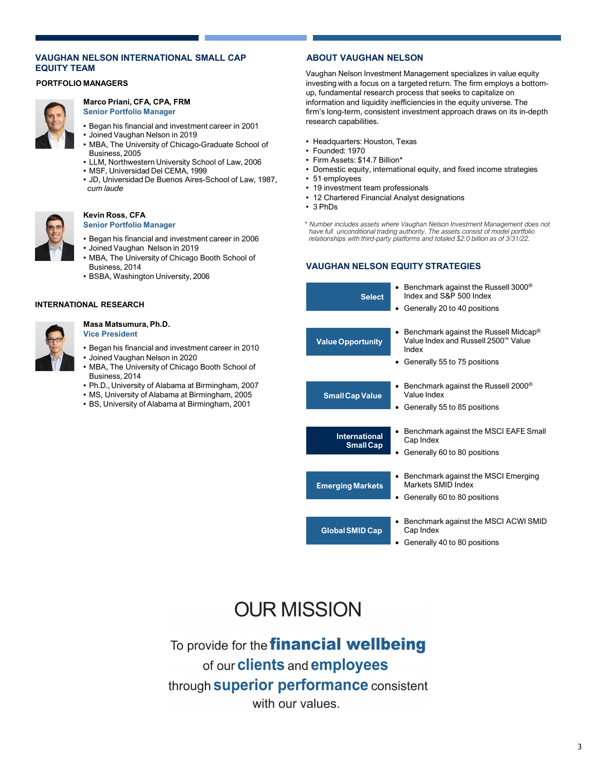### **VAUGHAN NELSON INTERNATIONAL SMALL CAP EQUITY TEAM**

#### **PORTFOLIO MANAGERS**



#### **Marco Priani, CFA, CPA, FRM Senior Portfolio Manager**

- Began his financial and investment career in 2001
- Joined Vaughan Nelson in 2019
- MBA, The University of Chicago-Graduate School of Business, 2005
- LLM, Northwestern University School of Law, 2006
- MSF, Universidad Del CEMA, 1999
- JD, Universidad De Buenos Aires-School of Law, 1987, *cum laude*



#### **Kevin Ross, CFA Senior Portfolio Manager**

- Began his financial and investment career in 2006
- Joined Vaughan Nelson in 2019
- MBA, The University of Chicago Booth School of Business, 2014
- BSBA, Washington University, 2006

#### **INTERNATIONAL RESEARCH**



#### **Masa Matsumura, Ph.D. Vice President**

- Began his financial and investment career in 2010 • Joined Vaughan Nelson in 2020
- MBA, The University of Chicago Booth School of
- Business, 2014
- Ph.D., University of Alabama at Birmingham, 2007
- MS, University of Alabama at Birmingham, 2005
- BS, University of Alabama at Birmingham, 2001

## **ABOUT VAUGHAN NELSON**

Vaughan Nelson Investment Management specializes in value equity investing with a focus on a targeted return. The firm employs a bottomup, fundamental research process that seeks to capitalize on information and liquidity inefficiencies in the equity universe. The firm's long-term, consistent investment approach draws on its in-depth research capabilities.

- Headquarters: Houston, Texas
- Founded: 1970
- Firm Assets: \$14.7 Billion\*
- Domestic equity, international equity, and fixed income strategies
- 51 employees
- 19 investment team professionals
- 12 Chartered Financial Analyst designations
- 3 PhDs
- *\* Number includes assets where Vaughan Nelson Investment Management does not have full unconditional trading authority. The assets consist of model portfolio relationships with third-party platforms and totaled \$2.0 billion as of 3/31/22.*

## **VAUGHAN NELSON EQUITY STRATEGIES**



# **OUR MISSION**

To provide for the **financial wellbeing** of our **clients** and **employees** through **superior performance** consistent with our values.